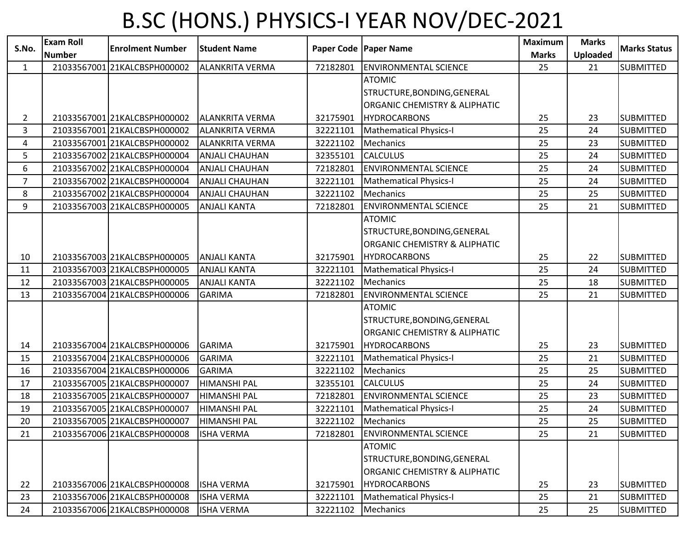## B.SC (HONS.) PHYSICS-I YEAR NOV/DEC-2021

| S.No.          | <b>Exam Roll</b> | <b>Enrolment Number</b>      | <b>Student Name</b>    |          | Paper Code   Paper Name                  | <b>Maximum</b> | <b>Marks</b>    | <b>Marks Status</b> |
|----------------|------------------|------------------------------|------------------------|----------|------------------------------------------|----------------|-----------------|---------------------|
|                | <b>Number</b>    |                              |                        |          |                                          | <b>Marks</b>   | <b>Uploaded</b> |                     |
| $\mathbf{1}$   |                  | 21033567001 21KALCBSPH000002 | <b>ALANKRITA VERMA</b> | 72182801 | <b>ENVIRONMENTAL SCIENCE</b>             | 25             | 21              | <b>SUBMITTED</b>    |
|                |                  |                              |                        |          | <b>ATOMIC</b>                            |                |                 |                     |
|                |                  |                              |                        |          | STRUCTURE, BONDING, GENERAL              |                |                 |                     |
|                |                  |                              |                        |          | <b>ORGANIC CHEMISTRY &amp; ALIPHATIC</b> |                |                 |                     |
| $\overline{2}$ |                  | 21033567001 21KALCBSPH000002 | ALANKRITA VERMA        | 32175901 | <b>HYDROCARBONS</b>                      | 25             | 23              | <b>SUBMITTED</b>    |
| 3              |                  | 21033567001 21KALCBSPH000002 | <b>ALANKRITA VERMA</b> | 32221101 | <b>Mathematical Physics-I</b>            | 25             | 24              | <b>SUBMITTED</b>    |
| 4              |                  | 21033567001 21KALCBSPH000002 | <b>ALANKRITA VERMA</b> | 32221102 | Mechanics                                | 25             | 23              | <b>SUBMITTED</b>    |
| 5              |                  | 21033567002 21KALCBSPH000004 | <b>ANJALI CHAUHAN</b>  | 32355101 | <b>CALCULUS</b>                          | 25             | 24              | <b>SUBMITTED</b>    |
| 6              |                  | 21033567002 21KALCBSPH000004 | <b>ANJALI CHAUHAN</b>  | 72182801 | <b>ENVIRONMENTAL SCIENCE</b>             | 25             | 24              | <b>SUBMITTED</b>    |
| $\overline{7}$ |                  | 21033567002 21KALCBSPH000004 | <b>ANJALI CHAUHAN</b>  | 32221101 | <b>Mathematical Physics-I</b>            | 25             | 24              | <b>SUBMITTED</b>    |
| 8              |                  | 21033567002 21KALCBSPH000004 | <b>ANJALI CHAUHAN</b>  | 32221102 | Mechanics                                | 25             | 25              | <b>SUBMITTED</b>    |
| 9              |                  | 21033567003 21KALCBSPH000005 | <b>ANJALI KANTA</b>    | 72182801 | <b>ENVIRONMENTAL SCIENCE</b>             | 25             | 21              | <b>SUBMITTED</b>    |
|                |                  |                              |                        |          | <b>ATOMIC</b>                            |                |                 |                     |
|                |                  |                              |                        |          | STRUCTURE, BONDING, GENERAL              |                |                 |                     |
|                |                  |                              |                        |          | ORGANIC CHEMISTRY & ALIPHATIC            |                |                 |                     |
| 10             |                  | 21033567003 21KALCBSPH000005 | <b>ANJALI KANTA</b>    | 32175901 | <b>HYDROCARBONS</b>                      | 25             | 22              | <b>SUBMITTED</b>    |
| 11             |                  | 21033567003 21KALCBSPH000005 | <b>ANJALI KANTA</b>    | 32221101 | <b>Mathematical Physics-I</b>            | 25             | 24              | <b>SUBMITTED</b>    |
| 12             |                  | 21033567003 21KALCBSPH000005 | <b>ANJALI KANTA</b>    | 32221102 | Mechanics                                | 25             | 18              | <b>SUBMITTED</b>    |
| 13             |                  | 21033567004 21KALCBSPH000006 | <b>GARIMA</b>          | 72182801 | <b>ENVIRONMENTAL SCIENCE</b>             | 25             | 21              | <b>SUBMITTED</b>    |
|                |                  |                              |                        |          | <b>ATOMIC</b>                            |                |                 |                     |
|                |                  |                              |                        |          | STRUCTURE, BONDING, GENERAL              |                |                 |                     |
|                |                  |                              |                        |          | ORGANIC CHEMISTRY & ALIPHATIC            |                |                 |                     |
| 14             |                  | 21033567004 21KALCBSPH000006 | <b>GARIMA</b>          | 32175901 | <b>HYDROCARBONS</b>                      | 25             | 23              | <b>SUBMITTED</b>    |
| 15             |                  | 21033567004 21KALCBSPH000006 | <b>GARIMA</b>          | 32221101 | <b>Mathematical Physics-I</b>            | 25             | 21              | <b>SUBMITTED</b>    |
| 16             |                  | 21033567004 21KALCBSPH000006 | <b>GARIMA</b>          | 32221102 | <b>Mechanics</b>                         | 25             | 25              | <b>SUBMITTED</b>    |
| 17             |                  | 21033567005 21KALCBSPH000007 | <b>HIMANSHI PAL</b>    | 32355101 | <b>CALCULUS</b>                          | 25             | 24              | <b>SUBMITTED</b>    |
| 18             |                  | 21033567005 21KALCBSPH000007 | <b>HIMANSHI PAL</b>    | 72182801 | <b>ENVIRONMENTAL SCIENCE</b>             | 25             | 23              | <b>SUBMITTED</b>    |
| 19             |                  | 21033567005 21KALCBSPH000007 | <b>HIMANSHI PAL</b>    | 32221101 | <b>Mathematical Physics-I</b>            | 25             | 24              | <b>SUBMITTED</b>    |
| 20             |                  | 21033567005 21KALCBSPH000007 | <b>HIMANSHI PAL</b>    | 32221102 | Mechanics                                | 25             | 25              | <b>SUBMITTED</b>    |
| 21             |                  | 21033567006 21KALCBSPH000008 | <b>ISHA VERMA</b>      | 72182801 | <b>ENVIRONMENTAL SCIENCE</b>             | 25             | 21              | <b>SUBMITTED</b>    |
|                |                  |                              |                        |          | <b>ATOMIC</b>                            |                |                 |                     |
|                |                  |                              |                        |          | STRUCTURE, BONDING, GENERAL              |                |                 |                     |
|                |                  |                              |                        |          | ORGANIC CHEMISTRY & ALIPHATIC            |                |                 |                     |
| 22             |                  | 21033567006 21KALCBSPH000008 | <b>ISHA VERMA</b>      | 32175901 | <b>HYDROCARBONS</b>                      | 25             | 23              | <b>SUBMITTED</b>    |
| 23             |                  | 21033567006 21KALCBSPH000008 | <b>ISHA VERMA</b>      | 32221101 | <b>Mathematical Physics-I</b>            | 25             | 21              | <b>SUBMITTED</b>    |
| 24             |                  | 21033567006 21KALCBSPH000008 | <b>ISHA VERMA</b>      | 32221102 | Mechanics                                | 25             | 25              | <b>SUBMITTED</b>    |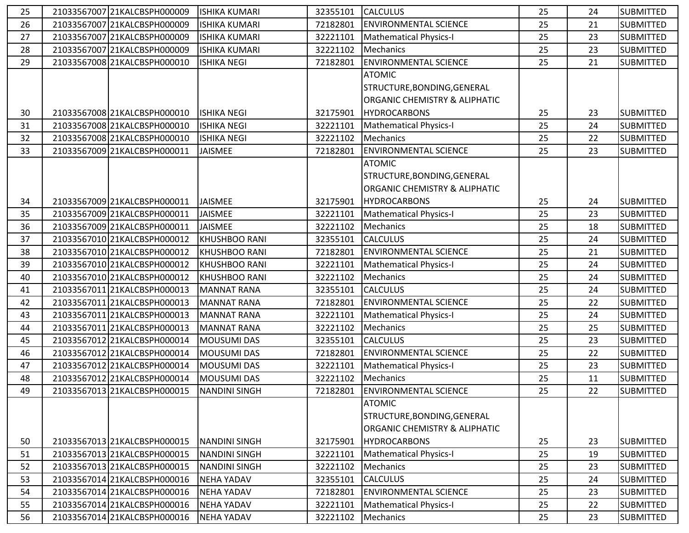| 25 | 21033567007 21KALCBSPH000009 | <b>ISHIKA KUMARI</b> | 32355101 | <b>CALCULUS</b>                          | 25 | 24 | <b>SUBMITTED</b> |
|----|------------------------------|----------------------|----------|------------------------------------------|----|----|------------------|
| 26 | 21033567007 21KALCBSPH000009 | <b>ISHIKA KUMARI</b> | 72182801 | <b>ENVIRONMENTAL SCIENCE</b>             | 25 | 21 | <b>SUBMITTED</b> |
| 27 | 21033567007 21KALCBSPH000009 | <b>ISHIKA KUMARI</b> | 32221101 | Mathematical Physics-I                   | 25 | 23 | <b>SUBMITTED</b> |
| 28 | 21033567007 21KALCBSPH000009 | <b>ISHIKA KUMARI</b> | 32221102 | Mechanics                                | 25 | 23 | <b>SUBMITTED</b> |
| 29 | 21033567008 21KALCBSPH000010 | <b>ISHIKA NEGI</b>   | 72182801 | <b>ENVIRONMENTAL SCIENCE</b>             | 25 | 21 | <b>SUBMITTED</b> |
|    |                              |                      |          | <b>ATOMIC</b>                            |    |    |                  |
|    |                              |                      |          | STRUCTURE, BONDING, GENERAL              |    |    |                  |
|    |                              |                      |          | <b>ORGANIC CHEMISTRY &amp; ALIPHATIC</b> |    |    |                  |
| 30 | 21033567008 21KALCBSPH000010 | <b>ISHIKA NEGI</b>   | 32175901 | <b>HYDROCARBONS</b>                      | 25 | 23 | <b>SUBMITTED</b> |
| 31 | 21033567008 21KALCBSPH000010 | <b>ISHIKA NEGI</b>   | 32221101 | Mathematical Physics-I                   | 25 | 24 | <b>SUBMITTED</b> |
| 32 | 21033567008 21KALCBSPH000010 | <b>ISHIKA NEGI</b>   | 32221102 | Mechanics                                | 25 | 22 | <b>SUBMITTED</b> |
| 33 | 21033567009 21KALCBSPH000011 | JAISMEE              | 72182801 | <b>ENVIRONMENTAL SCIENCE</b>             | 25 | 23 | <b>SUBMITTED</b> |
|    |                              |                      |          | <b>ATOMIC</b>                            |    |    |                  |
|    |                              |                      |          | STRUCTURE, BONDING, GENERAL              |    |    |                  |
|    |                              |                      |          | <b>ORGANIC CHEMISTRY &amp; ALIPHATIC</b> |    |    |                  |
| 34 | 21033567009 21KALCBSPH000011 | <b>JAISMEE</b>       | 32175901 | <b>HYDROCARBONS</b>                      | 25 | 24 | <b>SUBMITTED</b> |
| 35 | 21033567009 21KALCBSPH000011 | JAISMEE              | 32221101 | Mathematical Physics-I                   | 25 | 23 | <b>SUBMITTED</b> |
| 36 | 21033567009 21KALCBSPH000011 | <b>JAISMEE</b>       | 32221102 | Mechanics                                | 25 | 18 | <b>SUBMITTED</b> |
| 37 | 21033567010 21KALCBSPH000012 | <b>KHUSHBOO RANI</b> | 32355101 | <b>CALCULUS</b>                          | 25 | 24 | <b>SUBMITTED</b> |
| 38 | 21033567010 21KALCBSPH000012 | <b>KHUSHBOO RANI</b> | 72182801 | <b>ENVIRONMENTAL SCIENCE</b>             | 25 | 21 | <b>SUBMITTED</b> |
| 39 | 21033567010 21KALCBSPH000012 | <b>KHUSHBOO RANI</b> | 32221101 | <b>Mathematical Physics-I</b>            | 25 | 24 | <b>SUBMITTED</b> |
| 40 | 21033567010 21KALCBSPH000012 | <b>KHUSHBOO RANI</b> | 32221102 | Mechanics                                | 25 | 24 | <b>SUBMITTED</b> |
| 41 | 21033567011 21KALCBSPH000013 | <b>MANNAT RANA</b>   | 32355101 | <b>CALCULUS</b>                          | 25 | 24 | <b>SUBMITTED</b> |
| 42 | 21033567011 21KALCBSPH000013 | <b>MANNAT RANA</b>   | 72182801 | <b>ENVIRONMENTAL SCIENCE</b>             | 25 | 22 | <b>SUBMITTED</b> |
| 43 | 21033567011 21KALCBSPH000013 | <b>MANNAT RANA</b>   | 32221101 | Mathematical Physics-I                   | 25 | 24 | <b>SUBMITTED</b> |
| 44 | 21033567011 21KALCBSPH000013 | <b>MANNAT RANA</b>   | 32221102 | Mechanics                                | 25 | 25 | <b>SUBMITTED</b> |
| 45 | 21033567012 21KALCBSPH000014 | <b>MOUSUMI DAS</b>   | 32355101 | <b>CALCULUS</b>                          | 25 | 23 | <b>SUBMITTED</b> |
| 46 | 21033567012 21KALCBSPH000014 | <b>MOUSUMI DAS</b>   | 72182801 | <b>ENVIRONMENTAL SCIENCE</b>             | 25 | 22 | <b>SUBMITTED</b> |
| 47 | 21033567012 21KALCBSPH000014 | <b>MOUSUMI DAS</b>   | 32221101 | Mathematical Physics-I                   | 25 | 23 | <b>SUBMITTED</b> |
| 48 | 21033567012 21KALCBSPH000014 | <b>MOUSUMI DAS</b>   | 32221102 | Mechanics                                | 25 | 11 | <b>SUBMITTED</b> |
| 49 | 21033567013 21KALCBSPH000015 | <b>NANDINI SINGH</b> | 72182801 | <b>ENVIRONMENTAL SCIENCE</b>             | 25 | 22 | <b>SUBMITTED</b> |
|    |                              |                      |          | <b>ATOMIC</b>                            |    |    |                  |
|    |                              |                      |          | STRUCTURE, BONDING, GENERAL              |    |    |                  |
|    |                              |                      |          | ORGANIC CHEMISTRY & ALIPHATIC            |    |    |                  |
| 50 | 21033567013 21KALCBSPH000015 | <b>NANDINI SINGH</b> | 32175901 | <b>HYDROCARBONS</b>                      | 25 | 23 | <b>SUBMITTED</b> |
| 51 | 21033567013 21KALCBSPH000015 | <b>NANDINI SINGH</b> | 32221101 | Mathematical Physics-I                   | 25 | 19 | <b>SUBMITTED</b> |
| 52 | 21033567013 21KALCBSPH000015 | <b>NANDINI SINGH</b> | 32221102 | Mechanics                                | 25 | 23 | <b>SUBMITTED</b> |
| 53 | 21033567014 21KALCBSPH000016 | <b>NEHA YADAV</b>    | 32355101 | <b>CALCULUS</b>                          | 25 | 24 | <b>SUBMITTED</b> |
| 54 | 21033567014 21KALCBSPH000016 | <b>NEHA YADAV</b>    | 72182801 | <b>ENVIRONMENTAL SCIENCE</b>             | 25 | 23 | <b>SUBMITTED</b> |
| 55 | 21033567014 21KALCBSPH000016 | <b>NEHA YADAV</b>    | 32221101 | Mathematical Physics-I                   | 25 | 22 | <b>SUBMITTED</b> |
| 56 | 21033567014 21KALCBSPH000016 | <b>NEHA YADAV</b>    | 32221102 | Mechanics                                | 25 | 23 | <b>SUBMITTED</b> |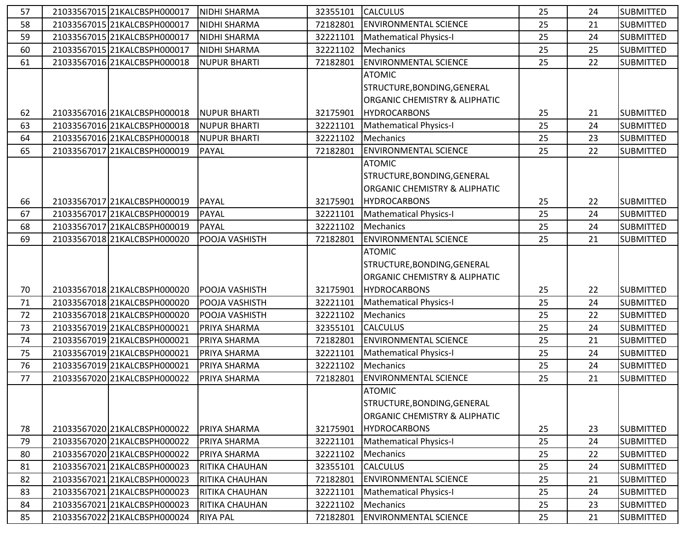| 57 | 21033567015 21KALCBSPH000017 | <b>NIDHI SHARMA</b>   | 32355101 | <b>CALCULUS</b>                          | 25 | 24 | <b>SUBMITTED</b> |
|----|------------------------------|-----------------------|----------|------------------------------------------|----|----|------------------|
| 58 | 21033567015 21KALCBSPH000017 | <b>NIDHI SHARMA</b>   | 72182801 | <b>ENVIRONMENTAL SCIENCE</b>             | 25 | 21 | <b>SUBMITTED</b> |
| 59 | 21033567015 21KALCBSPH000017 | <b>NIDHI SHARMA</b>   | 32221101 | <b>Mathematical Physics-I</b>            | 25 | 24 | <b>SUBMITTED</b> |
| 60 | 21033567015 21KALCBSPH000017 | <b>NIDHI SHARMA</b>   | 32221102 | Mechanics                                | 25 | 25 | <b>SUBMITTED</b> |
| 61 | 21033567016 21KALCBSPH000018 | <b>NUPUR BHARTI</b>   | 72182801 | <b>ENVIRONMENTAL SCIENCE</b>             | 25 | 22 | <b>SUBMITTED</b> |
|    |                              |                       |          | <b>ATOMIC</b>                            |    |    |                  |
|    |                              |                       |          | STRUCTURE, BONDING, GENERAL              |    |    |                  |
|    |                              |                       |          | <b>ORGANIC CHEMISTRY &amp; ALIPHATIC</b> |    |    |                  |
| 62 | 21033567016 21KALCBSPH000018 | <b>NUPUR BHARTI</b>   | 32175901 | <b>HYDROCARBONS</b>                      | 25 | 21 | <b>SUBMITTED</b> |
| 63 | 21033567016 21KALCBSPH000018 | <b>NUPUR BHARTI</b>   | 32221101 | Mathematical Physics-I                   | 25 | 24 | <b>SUBMITTED</b> |
| 64 | 21033567016 21KALCBSPH000018 | <b>NUPUR BHARTI</b>   | 32221102 | Mechanics                                | 25 | 23 | <b>SUBMITTED</b> |
| 65 | 21033567017 21KALCBSPH000019 | <b>PAYAL</b>          | 72182801 | <b>ENVIRONMENTAL SCIENCE</b>             | 25 | 22 | <b>SUBMITTED</b> |
|    |                              |                       |          | <b>ATOMIC</b>                            |    |    |                  |
|    |                              |                       |          | STRUCTURE, BONDING, GENERAL              |    |    |                  |
|    |                              |                       |          | <b>ORGANIC CHEMISTRY &amp; ALIPHATIC</b> |    |    |                  |
| 66 | 21033567017 21KALCBSPH000019 | <b>PAYAL</b>          | 32175901 | <b>HYDROCARBONS</b>                      | 25 | 22 | <b>SUBMITTED</b> |
| 67 | 21033567017 21KALCBSPH000019 | <b>PAYAL</b>          | 32221101 | <b>Mathematical Physics-I</b>            | 25 | 24 | <b>SUBMITTED</b> |
| 68 | 21033567017 21KALCBSPH000019 | <b>PAYAL</b>          | 32221102 | Mechanics                                | 25 | 24 | <b>SUBMITTED</b> |
| 69 | 2103356701821KALCBSPH000020  | POOJA VASHISTH        | 72182801 | <b>ENVIRONMENTAL SCIENCE</b>             | 25 | 21 | <b>SUBMITTED</b> |
|    |                              |                       |          | <b>ATOMIC</b>                            |    |    |                  |
|    |                              |                       |          | STRUCTURE, BONDING, GENERAL              |    |    |                  |
|    |                              |                       |          | ORGANIC CHEMISTRY & ALIPHATIC            |    |    |                  |
| 70 | 21033567018 21KALCBSPH000020 | POOJA VASHISTH        | 32175901 | <b>HYDROCARBONS</b>                      | 25 | 22 | <b>SUBMITTED</b> |
| 71 | 21033567018 21KALCBSPH000020 | <b>POOJA VASHISTH</b> | 32221101 | Mathematical Physics-I                   | 25 | 24 | <b>SUBMITTED</b> |
| 72 | 21033567018 21KALCBSPH000020 | POOJA VASHISTH        | 32221102 | Mechanics                                | 25 | 22 | <b>SUBMITTED</b> |
| 73 | 21033567019 21KALCBSPH000021 | <b>PRIYA SHARMA</b>   | 32355101 | <b>CALCULUS</b>                          | 25 | 24 | <b>SUBMITTED</b> |
| 74 | 21033567019 21KALCBSPH000021 | PRIYA SHARMA          | 72182801 | <b>ENVIRONMENTAL SCIENCE</b>             | 25 | 21 | <b>SUBMITTED</b> |
| 75 | 21033567019 21KALCBSPH000021 | PRIYA SHARMA          | 32221101 | Mathematical Physics-I                   | 25 | 24 | <b>SUBMITTED</b> |
| 76 | 21033567019 21KALCBSPH000021 | PRIYA SHARMA          | 32221102 | Mechanics                                | 25 | 24 | <b>SUBMITTED</b> |
| 77 | 21033567020 21KALCBSPH000022 | PRIYA SHARMA          | 72182801 | <b>ENVIRONMENTAL SCIENCE</b>             | 25 | 21 | <b>SUBMITTED</b> |
|    |                              |                       |          | <b>ATOMIC</b>                            |    |    |                  |
|    |                              |                       |          | STRUCTURE, BONDING, GENERAL              |    |    |                  |
|    |                              |                       |          | ORGANIC CHEMISTRY & ALIPHATIC            |    |    |                  |
| 78 | 21033567020 21KALCBSPH000022 | PRIYA SHARMA          | 32175901 | <b>HYDROCARBONS</b>                      | 25 | 23 | <b>SUBMITTED</b> |
| 79 | 21033567020 21KALCBSPH000022 | PRIYA SHARMA          | 32221101 | <b>Mathematical Physics-I</b>            | 25 | 24 | <b>SUBMITTED</b> |
| 80 | 21033567020 21KALCBSPH000022 | PRIYA SHARMA          | 32221102 | Mechanics                                | 25 | 22 | <b>SUBMITTED</b> |
| 81 | 21033567021 21KALCBSPH000023 | <b>RITIKA CHAUHAN</b> | 32355101 | <b>CALCULUS</b>                          | 25 | 24 | <b>SUBMITTED</b> |
| 82 | 21033567021 21KALCBSPH000023 | <b>RITIKA CHAUHAN</b> | 72182801 | <b>ENVIRONMENTAL SCIENCE</b>             | 25 | 21 | <b>SUBMITTED</b> |
| 83 | 21033567021 21KALCBSPH000023 | <b>RITIKA CHAUHAN</b> | 32221101 | <b>Mathematical Physics-I</b>            | 25 | 24 | <b>SUBMITTED</b> |
| 84 | 21033567021 21KALCBSPH000023 | <b>RITIKA CHAUHAN</b> | 32221102 | Mechanics                                | 25 | 23 | <b>SUBMITTED</b> |
| 85 | 21033567022 21KALCBSPH000024 | <b>RIYA PAL</b>       | 72182801 | <b>ENVIRONMENTAL SCIENCE</b>             | 25 | 21 | <b>SUBMITTED</b> |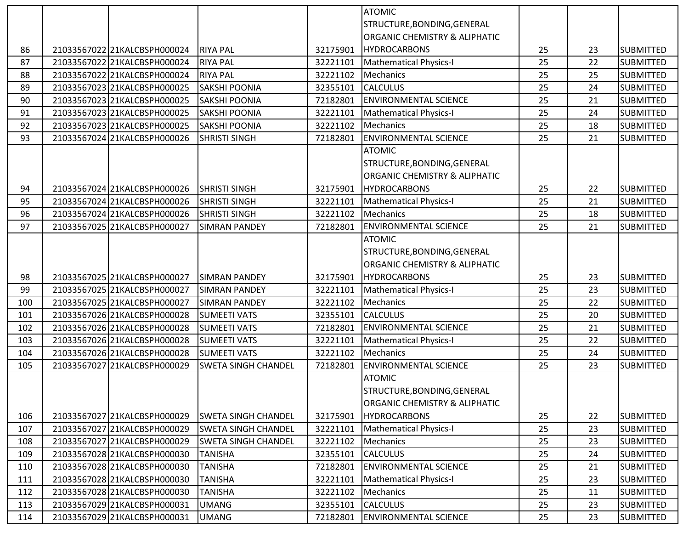|     |                              |                            |          | <b>ATOMIC</b>                 |    |    |                  |
|-----|------------------------------|----------------------------|----------|-------------------------------|----|----|------------------|
|     |                              |                            |          | STRUCTURE, BONDING, GENERAL   |    |    |                  |
|     |                              |                            |          | ORGANIC CHEMISTRY & ALIPHATIC |    |    |                  |
| 86  | 21033567022 21KALCBSPH000024 | <b>RIYA PAL</b>            | 32175901 | <b>HYDROCARBONS</b>           | 25 | 23 | <b>SUBMITTED</b> |
| 87  | 2103356702221KALCBSPH000024  | <b>RIYA PAL</b>            | 32221101 | Mathematical Physics-I        | 25 | 22 | <b>SUBMITTED</b> |
| 88  | 21033567022 21KALCBSPH000024 | <b>RIYA PAL</b>            | 32221102 | <b>Mechanics</b>              | 25 | 25 | <b>SUBMITTED</b> |
| 89  | 21033567023 21KALCBSPH000025 | <b>SAKSHI POONIA</b>       | 32355101 | <b>CALCULUS</b>               | 25 | 24 | SUBMITTED        |
| 90  | 21033567023 21KALCBSPH000025 | <b>SAKSHI POONIA</b>       | 72182801 | <b>ENVIRONMENTAL SCIENCE</b>  | 25 | 21 | <b>SUBMITTED</b> |
| 91  | 21033567023 21KALCBSPH000025 | <b>SAKSHI POONIA</b>       | 32221101 | <b>Mathematical Physics-I</b> | 25 | 24 | <b>SUBMITTED</b> |
| 92  | 2103356702321KALCBSPH000025  | <b>SAKSHI POONIA</b>       | 32221102 | <b>Mechanics</b>              | 25 | 18 | <b>SUBMITTED</b> |
| 93  | 21033567024 21KALCBSPH000026 | <b>SHRISTI SINGH</b>       | 72182801 | <b>ENVIRONMENTAL SCIENCE</b>  | 25 | 21 | <b>SUBMITTED</b> |
|     |                              |                            |          | <b>ATOMIC</b>                 |    |    |                  |
|     |                              |                            |          | STRUCTURE, BONDING, GENERAL   |    |    |                  |
|     |                              |                            |          | ORGANIC CHEMISTRY & ALIPHATIC |    |    |                  |
| 94  | 21033567024 21KALCBSPH000026 | <b>SHRISTI SINGH</b>       | 32175901 | <b>HYDROCARBONS</b>           | 25 | 22 | <b>SUBMITTED</b> |
| 95  | 21033567024 21KALCBSPH000026 | <b>SHRISTI SINGH</b>       | 32221101 | <b>Mathematical Physics-I</b> | 25 | 21 | SUBMITTED        |
| 96  | 21033567024 21KALCBSPH000026 | <b>SHRISTI SINGH</b>       | 32221102 | <b>Mechanics</b>              | 25 | 18 | <b>SUBMITTED</b> |
| 97  | 21033567025 21KALCBSPH000027 | <b>SIMRAN PANDEY</b>       | 72182801 | <b>ENVIRONMENTAL SCIENCE</b>  | 25 | 21 | SUBMITTED        |
|     |                              |                            |          | <b>ATOMIC</b>                 |    |    |                  |
|     |                              |                            |          | STRUCTURE, BONDING, GENERAL   |    |    |                  |
|     |                              |                            |          | ORGANIC CHEMISTRY & ALIPHATIC |    |    |                  |
| 98  | 21033567025 21KALCBSPH000027 | <b>SIMRAN PANDEY</b>       | 32175901 | <b>HYDROCARBONS</b>           | 25 | 23 | <b>SUBMITTED</b> |
| 99  | 21033567025 21KALCBSPH000027 | <b>SIMRAN PANDEY</b>       | 32221101 | <b>Mathematical Physics-I</b> | 25 | 23 | <b>SUBMITTED</b> |
| 100 | 21033567025 21KALCBSPH000027 | <b>SIMRAN PANDEY</b>       | 32221102 | Mechanics                     | 25 | 22 | <b>SUBMITTED</b> |
| 101 | 21033567026 21KALCBSPH000028 | <b>SUMEETI VATS</b>        | 32355101 | <b>CALCULUS</b>               | 25 | 20 | SUBMITTED        |
| 102 | 21033567026 21KALCBSPH000028 | <b>SUMEETI VATS</b>        |          |                               |    |    |                  |
| 103 |                              |                            | 72182801 | <b>ENVIRONMENTAL SCIENCE</b>  | 25 | 21 | SUBMITTED        |
|     | 21033567026 21KALCBSPH000028 | <b>SUMEETI VATS</b>        | 32221101 | <b>Mathematical Physics-I</b> | 25 | 22 | <b>SUBMITTED</b> |
| 104 | 21033567026 21KALCBSPH000028 | <b>SUMEETI VATS</b>        | 32221102 | <b>Mechanics</b>              | 25 | 24 | <b>SUBMITTED</b> |
| 105 | 21033567027 21KALCBSPH000029 | <b>SWETA SINGH CHANDEL</b> | 72182801 | <b>ENVIRONMENTAL SCIENCE</b>  | 25 | 23 | <b>SUBMITTED</b> |
|     |                              |                            |          | <b>ATOMIC</b>                 |    |    |                  |
|     |                              |                            |          | STRUCTURE, BONDING, GENERAL   |    |    |                  |
|     |                              |                            |          | ORGANIC CHEMISTRY & ALIPHATIC |    |    |                  |
| 106 | 21033567027 21KALCBSPH000029 | <b>SWETA SINGH CHANDEL</b> | 32175901 | <b>HYDROCARBONS</b>           | 25 | 22 | <b>SUBMITTED</b> |
| 107 | 21033567027 21KALCBSPH000029 | <b>SWETA SINGH CHANDEL</b> | 32221101 | <b>Mathematical Physics-I</b> | 25 | 23 | <b>SUBMITTED</b> |
| 108 | 21033567027 21KALCBSPH000029 | <b>SWETA SINGH CHANDEL</b> | 32221102 | Mechanics                     | 25 | 23 | SUBMITTED        |
| 109 | 21033567028 21KALCBSPH000030 | <b>TANISHA</b>             | 32355101 | <b>CALCULUS</b>               | 25 | 24 | SUBMITTED        |
| 110 | 21033567028 21KALCBSPH000030 | <b>TANISHA</b>             | 72182801 | <b>ENVIRONMENTAL SCIENCE</b>  | 25 | 21 | SUBMITTED        |
| 111 | 21033567028 21KALCBSPH000030 | <b>TANISHA</b>             | 32221101 | <b>Mathematical Physics-I</b> | 25 | 23 | SUBMITTED        |
| 112 | 21033567028 21KALCBSPH000030 | <b>TANISHA</b>             | 32221102 | Mechanics                     | 25 | 11 | SUBMITTED        |
| 113 | 21033567029 21KALCBSPH000031 | <b>UMANG</b>               | 32355101 | <b>CALCULUS</b>               | 25 | 23 | SUBMITTED        |